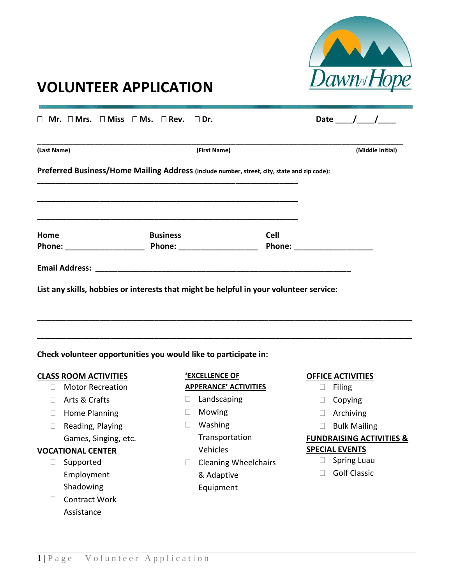

## **VOLUNTEER APPLICATION**

| $\Box$ Mr. $\Box$ Mrs. $\Box$ Miss $\Box$ Ms. $\Box$ Rev. $\Box$ Dr.                        |                                                                                                                       |             |                               | Date $/$ /       |
|---------------------------------------------------------------------------------------------|-----------------------------------------------------------------------------------------------------------------------|-------------|-------------------------------|------------------|
| (Last Name)                                                                                 | (First Name)                                                                                                          |             |                               | (Middle Initial) |
| Preferred Business/Home Mailing Address (Include number, street, city, state and zip code): |                                                                                                                       |             |                               |                  |
|                                                                                             | <u> 1999 - Johann Harry Harry Harry Harry Harry Harry Harry Harry Harry Harry Harry Harry Harry Harry Harry Harry</u> |             |                               |                  |
| Home                                                                                        | <b>Business</b>                                                                                                       | <b>Cell</b> | Phone: ______________________ |                  |
|                                                                                             |                                                                                                                       |             |                               |                  |
| List any skills, hobbies or interests that might be helpful in your volunteer service:      |                                                                                                                       |             |                               |                  |
|                                                                                             |                                                                                                                       |             |                               |                  |
| Check volunteer opportunities you would like to participate in:                             |                                                                                                                       |             |                               |                  |
| <b>CLASS ROOM ACTIVITIES</b>                                                                | <b>'EXCELLENCE OF</b>                                                                                                 |             | <b>OFFICE ACTIVITIES</b>      |                  |

- □ Motor Recreation
- □ Arts & Crafts
- **Home Planning**
- $\Box$  Reading, Playing
	- Games, Singing, etc.

### **VOCATIONAL CENTER**

- Supported Employment Shadowing
- □ Contract Work Assistance

# **APPERANCE' ACTIVITIES**

- D Landscaping
- Mowing
- Washing Transportation Vehicles
- $\Box$  Cleaning Wheelchairs & Adaptive Equipment
- **D** Filing
- $\Box$  Copying
- Archiving
- $\Box$  Bulk Mailing

#### **FUNDRAISING ACTIVITIES & SPECIAL EVENTS**

- $\Box$  Spring Luau
- Golf Classic